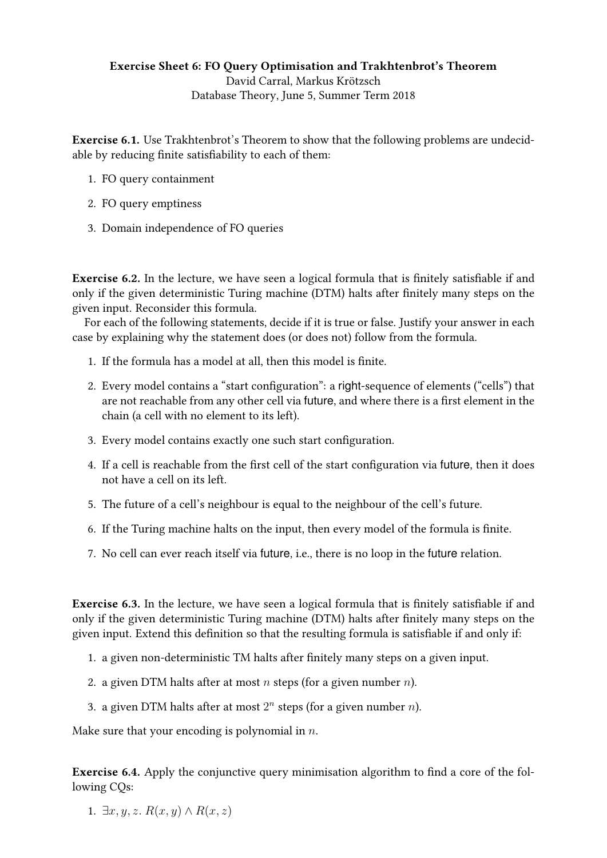## Exercise Sheet 6: FO Query Optimisation and Trakhtenbrot's Theorem David Carral, Markus Krötzsch [Database Theory,](https://iccl.inf.tu-dresden.de/web/Database_Theory_(SS2018)) June 5, Summer Term 2018

Exercise 6.1. Use Trakhtenbrot's Theorem to show that the following problems are undecidable by reducing finite satisfiability to each of them:

- 1. FO query containment
- 2. FO query emptiness
- 3. Domain independence of FO queries

Exercise 6.2. In the lecture, we have seen a logical formula that is finitely satisfiable if and only if the given deterministic Turing machine (DTM) halts after finitely many steps on the given input. Reconsider this formula.

For each of the following statements, decide if it is true or false. Justify your answer in each case by explaining why the statement does (or does not) follow from the formula.

- 1. If the formula has a model at all, then this model is finite.
- 2. Every model contains a "start configuration": a right-sequence of elements ("cells") that are not reachable from any other cell via future, and where there is a first element in the chain (a cell with no element to its left).
- 3. Every model contains exactly one such start configuration.
- 4. If a cell is reachable from the first cell of the start configuration via future, then it does not have a cell on its left.
- 5. The future of a cell's neighbour is equal to the neighbour of the cell's future.
- 6. If the Turing machine halts on the input, then every model of the formula is finite.
- 7. No cell can ever reach itself via future, i.e., there is no loop in the future relation.

Exercise 6.3. In the lecture, we have seen a logical formula that is finitely satisfiable if and only if the given deterministic Turing machine (DTM) halts after finitely many steps on the given input. Extend this definition so that the resulting formula is satisfiable if and only if:

- 1. a given non-deterministic TM halts after finitely many steps on a given input.
- 2. a given DTM halts after at most *n* steps (for a given number *n*).
- 3. a given DTM halts after at most  $2^n$  steps (for a given number  $n$ ).

Make sure that your encoding is polynomial in  $n$ .

**Exercise 6.4.** Apply the conjunctive query minimisation algorithm to find a core of the following CQs:

1.  $\exists x, y, z, R(x, y) \wedge R(x, z)$